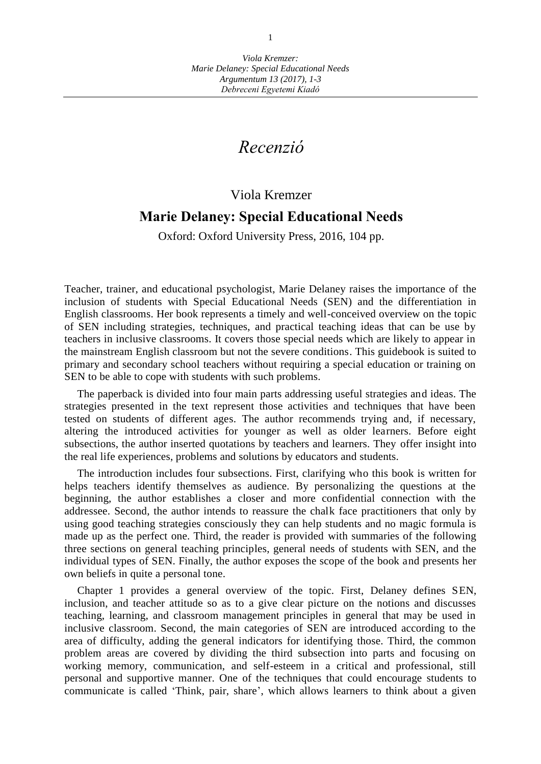## *Recenzió*

## Viola Kremzer

## **Marie Delaney: Special Educational Needs**

Oxford: Oxford University Press, 2016, 104 pp.

Teacher, trainer, and educational psychologist, Marie Delaney raises the importance of the inclusion of students with Special Educational Needs (SEN) and the differentiation in English classrooms. Her book represents a timely and well-conceived overview on the topic of SEN including strategies, techniques, and practical teaching ideas that can be use by teachers in inclusive classrooms. It covers those special needs which are likely to appear in the mainstream English classroom but not the severe conditions. This guidebook is suited to primary and secondary school teachers without requiring a special education or training on SEN to be able to cope with students with such problems.

The paperback is divided into four main parts addressing useful strategies and ideas. The strategies presented in the text represent those activities and techniques that have been tested on students of different ages. The author recommends trying and, if necessary, altering the introduced activities for younger as well as older learners. Before eight subsections, the author inserted quotations by teachers and learners. They offer insight into the real life experiences, problems and solutions by educators and students.

The introduction includes four subsections. First, clarifying who this book is written for helps teachers identify themselves as audience. By personalizing the questions at the beginning, the author establishes a closer and more confidential connection with the addressee. Second, the author intends to reassure the chalk face practitioners that only by using good teaching strategies consciously they can help students and no magic formula is made up as the perfect one. Third, the reader is provided with summaries of the following three sections on general teaching principles, general needs of students with SEN, and the individual types of SEN. Finally, the author exposes the scope of the book and presents her own beliefs in quite a personal tone.

Chapter 1 provides a general overview of the topic. First, Delaney defines SEN, inclusion, and teacher attitude so as to a give clear picture on the notions and discusses teaching, learning, and classroom management principles in general that may be used in inclusive classroom. Second, the main categories of SEN are introduced according to the area of difficulty, adding the general indicators for identifying those. Third, the common problem areas are covered by dividing the third subsection into parts and focusing on working memory, communication, and self-esteem in a critical and professional, still personal and supportive manner. One of the techniques that could encourage students to communicate is called 'Think, pair, share', which allows learners to think about a given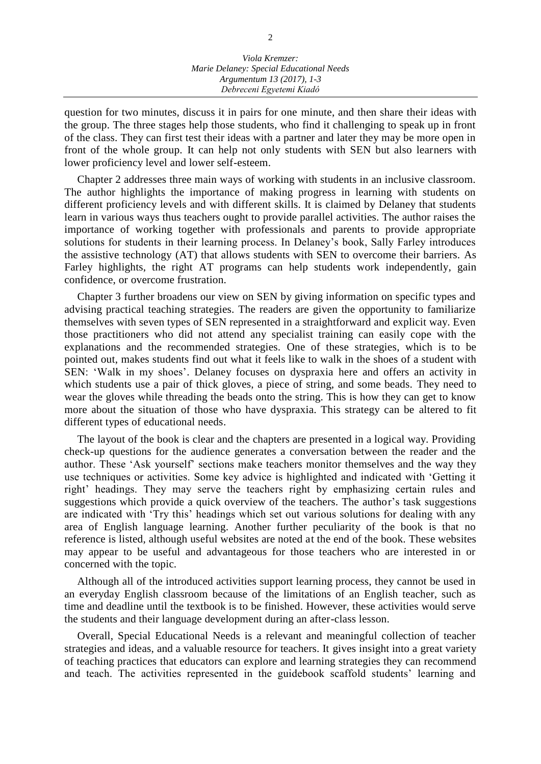question for two minutes, discuss it in pairs for one minute, and then share their ideas with the group. The three stages help those students, who find it challenging to speak up in front of the class. They can first test their ideas with a partner and later they may be more open in front of the whole group. It can help not only students with SEN but also learners with lower proficiency level and lower self-esteem.

Chapter 2 addresses three main ways of working with students in an inclusive classroom. The author highlights the importance of making progress in learning with students on different proficiency levels and with different skills. It is claimed by Delaney that students learn in various ways thus teachers ought to provide parallel activities. The author raises the importance of working together with professionals and parents to provide appropriate solutions for students in their learning process. In Delaney's book, Sally Farley introduces the assistive technology (AT) that allows students with SEN to overcome their barriers. As Farley highlights, the right AT programs can help students work independently, gain confidence, or overcome frustration.

Chapter 3 further broadens our view on SEN by giving information on specific types and advising practical teaching strategies. The readers are given the opportunity to familiarize themselves with seven types of SEN represented in a straightforward and explicit way. Even those practitioners who did not attend any specialist training can easily cope with the explanations and the recommended strategies. One of these strategies, which is to be pointed out, makes students find out what it feels like to walk in the shoes of a student with SEN: 'Walk in my shoes'. Delaney focuses on dyspraxia here and offers an activity in which students use a pair of thick gloves, a piece of string, and some beads. They need to wear the gloves while threading the beads onto the string. This is how they can get to know more about the situation of those who have dyspraxia. This strategy can be altered to fit different types of educational needs.

The layout of the book is clear and the chapters are presented in a logical way. Providing check-up questions for the audience generates a conversation between the reader and the author. These 'Ask yourself' sections make teachers monitor themselves and the way they use techniques or activities. Some key advice is highlighted and indicated with 'Getting it right' headings. They may serve the teachers right by emphasizing certain rules and suggestions which provide a quick overview of the teachers. The author's task suggestions are indicated with 'Try this' headings which set out various solutions for dealing with any area of English language learning. Another further peculiarity of the book is that no reference is listed, although useful websites are noted at the end of the book. These websites may appear to be useful and advantageous for those teachers who are interested in or concerned with the topic.

Although all of the introduced activities support learning process, they cannot be used in an everyday English classroom because of the limitations of an English teacher, such as time and deadline until the textbook is to be finished. However, these activities would serve the students and their language development during an after-class lesson.

Overall, Special Educational Needs is a relevant and meaningful collection of teacher strategies and ideas, and a valuable resource for teachers. It gives insight into a great variety of teaching practices that educators can explore and learning strategies they can recommend and teach. The activities represented in the guidebook scaffold students' learning and